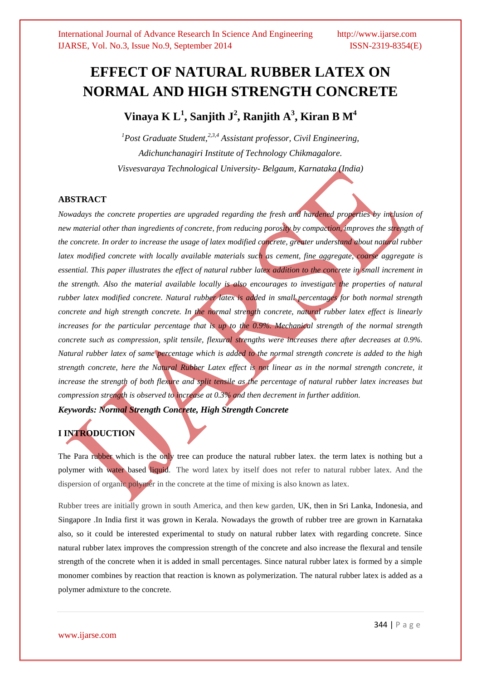# **EFFECT OF NATURAL RUBBER LATEX ON NORMAL AND HIGH STRENGTH CONCRETE**

**Vinaya K L<sup>1</sup> , Sanjith J<sup>2</sup> , Ranjith A<sup>3</sup> , Kiran B M<sup>4</sup>**

*<sup>1</sup>Post Graduate Student,2,3,4 Assistant professor, Civil Engineering, Adichunchanagiri Institute of Technology Chikmagalore. Visvesvaraya Technological University- Belgaum, Karnataka (India)*

#### **ABSTRACT**

*Nowadays the concrete properties are upgraded regarding the fresh and hardened properties by inclusion of new material other than ingredients of concrete, from reducing porosity by compaction, improves the strength of the concrete. In order to increase the usage of latex modified concrete, greater understand about natural rubber latex modified concrete with locally available materials such as cement, fine aggregate, coarse aggregate is essential. This paper illustrates the effect of natural rubber latex addition to the concrete in small increment in the strength. Also the material available locally is also encourages to investigate the properties of natural rubber latex modified concrete. Natural rubber latex is added in small percentages for both normal strength concrete and high strength concrete. In the normal strength concrete, natural rubber latex effect is linearly increases for the particular percentage that is up to the 0.9%. Mechanical strength of the normal strength concrete such as compression, split tensile, flexural strengths were increases there after decreases at 0.9%. Natural rubber latex of same percentage which is added to the normal strength concrete is added to the high strength concrete, here the Natural Rubber Latex effect is not linear as in the normal strength concrete, it*  increase the strength of both flexure and split tensile as the percentage of natural rubber latex increases but *compression strength is observed to increase at 0.3% and then decrement in further addition.*

*Keywords: Normal Strength Concrete, High Strength Concrete*

### **I INTRODUCTION**

The Para rubber which is the only tree can produce the natural rubber latex. the term latex is nothing but a polymer with water based liquid. The word latex by itself does not refer to natural rubber latex. And the dispersion of organic polymer in the concrete at the time of mixing is also known as latex.

Rubber trees are initially grown in south America, and then kew garden, UK, then in Sri Lanka, Indonesia, and Singapore .In India first it was grown in Kerala. Nowadays the growth of rubber tree are grown in Karnataka also, so it could be interested experimental to study on natural rubber latex with regarding concrete. Since natural rubber latex improves the compression strength of the concrete and also increase the flexural and tensile strength of the concrete when it is added in small percentages. Since natural rubber latex is formed by a simple monomer combines by reaction that reaction is known as polymerization. The natural rubber latex is added as a polymer admixture to the concrete.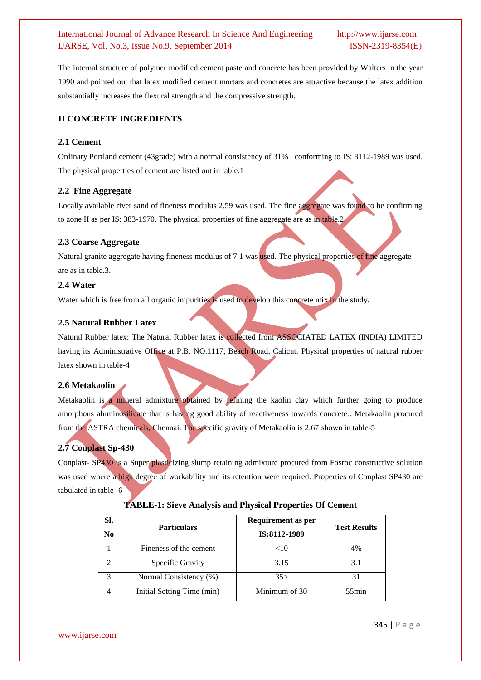The internal structure of polymer modified cement paste and concrete has been provided by Walters in the year 1990 and pointed out that latex modified cement mortars and concretes are attractive because the latex addition substantially increases the flexural strength and the compressive strength.

#### **II CONCRETE INGREDIENTS**

#### **2.1 Cement**

Ordinary Portland cement (43grade) with a normal consistency of 31% conforming to IS: 8112-1989 was used. The physical properties of cement are listed out in table.1

#### **2.2 Fine Aggregate**

Locally available river sand of fineness modulus 2.59 was used. The fine aggregate was found to be confirming to zone II as per IS: 383-1970. The physical properties of fine aggregate are as in table.2.

#### **2.3 Coarse Aggregate**

Natural granite aggregate having fineness modulus of 7.1 was used. The physical properties of fine aggregate are as in table.3.

#### **2.4 Water**

Water which is free from all organic impurities is used to develop this concrete mix in the study.

#### **2.5 Natural Rubber Latex**

Natural Rubber latex: The Natural Rubber latex is collected from ASSOCIATED LATEX (INDIA) LIMITED having its Administrative Office at P.B. NO.1117, Beach Road, Calicut. Physical properties of natural rubber latex shown in table-4

#### **2.6 Metakaolin**

Metakaolin is a mineral admixture obtained by refining the kaolin clay which further going to produce amorphous aluminosilicate that is having good ability of reactiveness towards concrete.. Metakaolin procured from the ASTRA chemicals, Chennai. The specific gravity of Metakaolin is 2.67 shown in table-5

### **2.7 Conplast Sp-430**

Conplast- SP430 is a Super plasticizing slump retaining admixture procured from Fosroc constructive solution was used where a high degree of workability and its retention were required. Properties of Conplast SP430 are tabulated in table -6

| SI.<br>N <sub>0</sub> | <b>Particulars</b>         | <b>Requirement as per</b><br>IS:8112-1989 | <b>Test Results</b> |
|-----------------------|----------------------------|-------------------------------------------|---------------------|
|                       | Fineness of the cement     | $<$ 10                                    | 4%                  |
|                       | Specific Gravity           | 3.15                                      | 3.1                 |
| $\mathcal{R}$         | Normal Consistency (%)     | 35 >                                      | 31                  |
|                       | Initial Setting Time (min) | Minimum of 30                             | $55$ min            |

#### **TABLE-1: Sieve Analysis and Physical Properties Of Cement**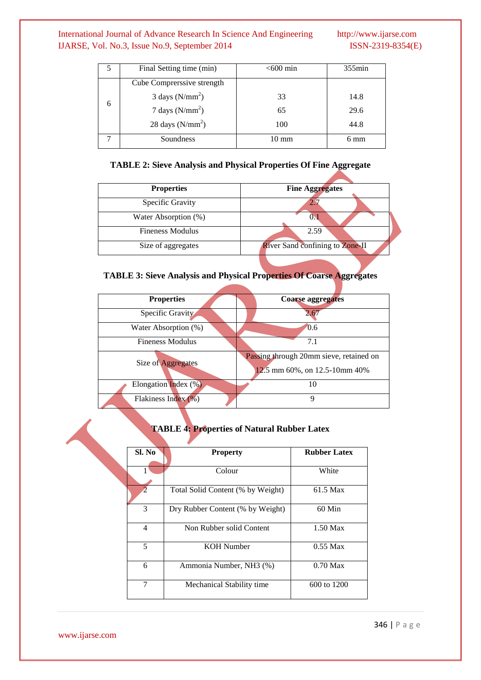|   | Final Setting time (min)              | $<$ 600 min     | $355$ min |
|---|---------------------------------------|-----------------|-----------|
|   | Cube Comprerssive strength            |                 |           |
| 6 | $3 \text{ days}$ (N/mm <sup>2</sup> ) | 33              | 14.8      |
|   | 7 days $(N/mm^2)$                     | 65              | 29.6      |
|   | 28 days $(N/mm2)$                     | 100             | 44.8      |
|   | Soundness                             | $10 \text{ mm}$ | 6 mm      |

### **TABLE 2: Sieve Analysis and Physical Properties Of Fine Aggregate**

| <b>Properties</b>       | <b>Fine Aggregates</b>                 |
|-------------------------|----------------------------------------|
| Specific Gravity        |                                        |
| Water Absorption (%)    |                                        |
| <b>Fineness Modulus</b> | 2.59                                   |
| Size of aggregates      | <b>River Sand confining to Zone-II</b> |
|                         |                                        |

## **TABLE 3: Sieve Analysis and Physical Properties Of Coarse Aggregates**

| <b>Properties</b>    | Coarse aggregates                       |
|----------------------|-----------------------------------------|
| Specific Gravity     | 2.67                                    |
| Water Absorption (%) | 0.6                                     |
| Fineness Modulus     | 7.1                                     |
|                      | Passing through 20mm sieve, retained on |
| Size of Aggregates   | 12.5 mm 60%, on 12.5-10mm 40%           |
| Elongation Index (%) | 10                                      |
| Flakiness Index (%)  | Q                                       |

## **TABLE 4: Properties of Natural Rubber Latex**

| Sl. No         | <b>Property</b>                   | <b>Rubber Latex</b> |
|----------------|-----------------------------------|---------------------|
|                | Colour                            | White               |
| 2              | Total Solid Content (% by Weight) | 61.5 Max            |
| 3              | Dry Rubber Content (% by Weight)  | 60 Min              |
| $\overline{4}$ | Non Rubber solid Content          | $1.50$ Max          |
| 5              | KOH Number                        | $0.55$ Max          |
| 6              | Ammonia Number, NH3 (%)           | $0.70$ Max          |
| 7              | Mechanical Stability time         | 600 to 1200         |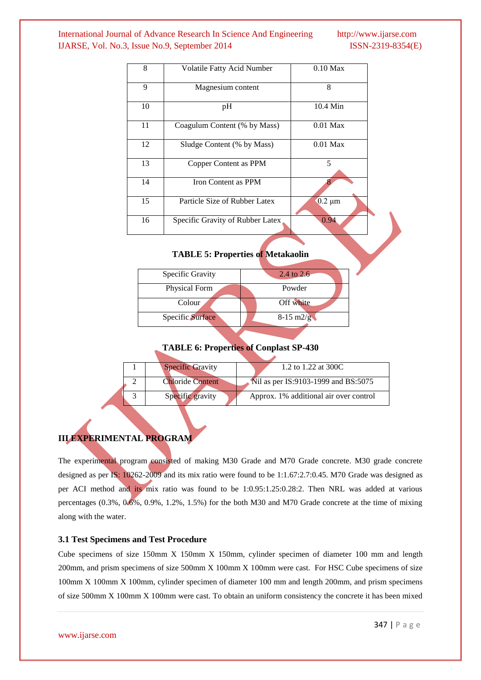| 8  | <b>Volatile Fatty Acid Number</b> | $0.10$ Max  |
|----|-----------------------------------|-------------|
| 9  | Magnesium content                 | 8           |
| 10 | pH                                | $10.4$ Min  |
| 11 | Coagulum Content (% by Mass)      | $0.01$ Max  |
| 12 | Sludge Content (% by Mass)        | $0.01$ Max  |
| 13 | Copper Content as PPM             | 5           |
| 14 | Iron Content as PPM               |             |
| 15 | Particle Size of Rubber Latex     | $0.2 \mu m$ |
| 16 | Specific Gravity of Rubber Latex  | 0.94        |

#### **TABLE 5: Properties of Metakaolin**

| Specific Gravity | 2.4 to 2.6          |
|------------------|---------------------|
| Physical Form    | Powder              |
| Colour           | Off white           |
| Specific Surface | $8-15 \text{ m2/g}$ |
|                  |                     |

#### **TABLE 6: Properties of Conplast SP-430**

|  | <b>Specific Gravity</b> | 1.2 to 1.22 at 300C                    |
|--|-------------------------|----------------------------------------|
|  | <b>Chloride Content</b> | Nil as per IS:9103-1999 and BS:5075    |
|  | Specific gravity        | Approx. 1% additional air over control |

## **III EXPERIMENTAL PROGRAM**

The experimental program consisted of making M30 Grade and M70 Grade concrete. M30 grade concrete designed as per IS: 10262-2009 and its mix ratio were found to be 1:1.67:2.7:0.45. M70 Grade was designed as per ACI method and its mix ratio was found to be 1:0.95:1.25:0.28:2. Then NRL was added at various percentages (0.3%, 0.6%, 0.9%, 1.2%, 1.5%) for the both M30 and M70 Grade concrete at the time of mixing along with the water.

#### **3.1 Test Specimens and Test Procedure**

Cube specimens of size 150mm X 150mm X 150mm, cylinder specimen of diameter 100 mm and length 200mm, and prism specimens of size 500mm X 100mm X 100mm were cast. For HSC Cube specimens of size 100mm X 100mm X 100mm, cylinder specimen of diameter 100 mm and length 200mm, and prism specimens of size 500mm X 100mm X 100mm were cast. To obtain an uniform consistency the concrete it has been mixed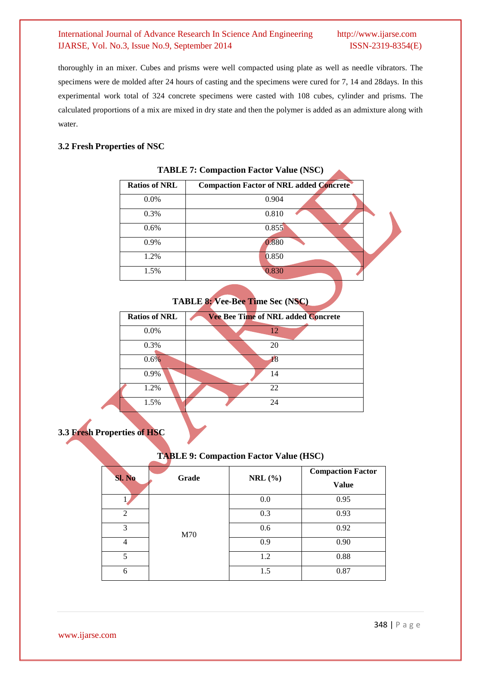thoroughly in an mixer. Cubes and prisms were well compacted using plate as well as needle vibrators. The specimens were de molded after 24 hours of casting and the specimens were cured for 7, 14 and 28days. In this experimental work total of 324 concrete specimens were casted with 108 cubes, cylinder and prisms. The calculated proportions of a mix are mixed in dry state and then the polymer is added as an admixture along with water.

#### **3.2 Fresh Properties of NSC**

| <b>Ratios of NRL</b> | <b>Compaction Factor of NRL added Concrete</b> |
|----------------------|------------------------------------------------|
| $0.0\%$              | 0.904                                          |
| 0.3%                 | 0.810                                          |
| 0.6%                 | 0.855                                          |
| 0.9%                 | 0.880                                          |
| 1.2%                 | 0.850                                          |
| 1.5%                 | 0.830                                          |

#### **TABLE 7: Compaction Factor Value (NSC)**

**TABLE 8: Vee-Bee Time Sec (NSC)**

| Vee Bee Time of NRL added Concrete |
|------------------------------------|
| 12                                 |
| 20                                 |
| 18                                 |
| 14                                 |
| 22                                 |
| 24                                 |
|                                    |

## **3.3 Fresh Properties of HSC**

#### **TABLE 9: Compaction Factor Value (HSC)**

| <b>Sl. No</b>  | Grade | NRL $(\% )$ | <b>Compaction Factor</b><br><b>Value</b> |
|----------------|-------|-------------|------------------------------------------|
|                |       | 0.0         | 0.95                                     |
| $\mathfrak{D}$ | M70   | 0.3         | 0.93                                     |
| 3              |       | 0.6         | 0.92                                     |
| 4              |       | 0.9         | 0.90                                     |
| 5              |       | 1.2         | 0.88                                     |
| 6              |       | 1.5         | 0.87                                     |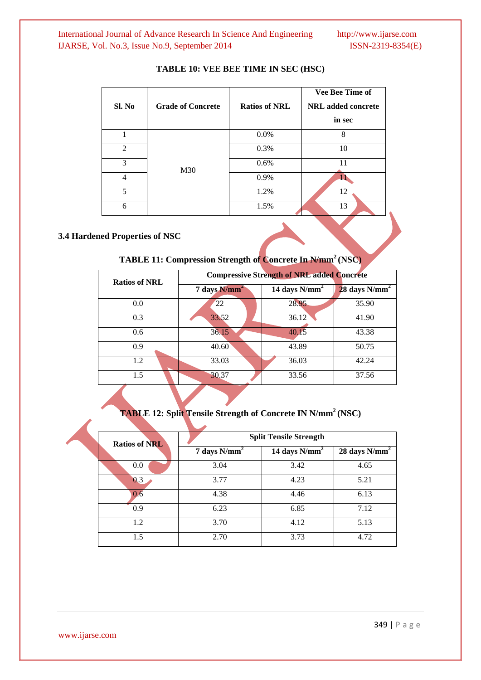| Sl. No                   | <b>Grade of Concrete</b> | <b>Ratios of NRL</b> | <b>Vee Bee Time of</b><br><b>NRL</b> added concrete<br>in sec |
|--------------------------|--------------------------|----------------------|---------------------------------------------------------------|
|                          |                          | 0.0%                 | 8                                                             |
| 2                        | M30                      | 0.3%                 | 10                                                            |
| 3                        |                          | 0.6%                 | 11                                                            |
| 4                        |                          | 0.9%                 |                                                               |
| $\overline{\phantom{0}}$ |                          | 1.2%                 | 12                                                            |
| 6                        |                          | 1.5%                 | 13                                                            |

#### **TABLE 10: VEE BEE TIME IN SEC (HSC)**

#### **3.4 Hardened Properties of NSC**

## **TABLE 11: Compression Strength of Concrete In N/mm<sup>2</sup>(NSC)**

| <b>Ratios of NRL</b> | <b>Compressive Strength of NRL added Concrete</b> |                  |                  |  |
|----------------------|---------------------------------------------------|------------------|------------------|--|
|                      | 7 days $N/mm^2$                                   | 14 days $N/mm^2$ | 28 days $N/mm^2$ |  |
| 0.0                  | 22                                                | 28.95            | 35.90            |  |
| 0.3                  | 33.52                                             | 36.12            | 41.90            |  |
| 0.6                  | 36.15                                             | 40.15            | 43.38            |  |
| 0.9                  | 40.60                                             | 43.89            | 50.75            |  |
| 1.2                  | 33.03                                             | 36.03            | 42.24            |  |
| 1.5                  | 30.37                                             | 33.56            | 37.56            |  |

**TABLE 12: Split Tensile Strength of Concrete IN N/mm<sup>2</sup>(NSC)**

|  | <b>Ratios of NRL</b> | <b>Split Tensile Strength</b> |                  |                  |  |
|--|----------------------|-------------------------------|------------------|------------------|--|
|  |                      | 7 days $N/mm^2$               | 14 days $N/mm^2$ | 28 days $N/mm^2$ |  |
|  | 0.0                  | 3.04                          | 3.42             | 4.65             |  |
|  | 0.3                  | 3.77                          | 4.23             | 5.21             |  |
|  | 0.6                  | 4.38                          | 4.46             | 6.13             |  |
|  | 0.9                  | 6.23                          | 6.85             | 7.12             |  |
|  | 1.2                  | 3.70                          | 4.12             | 5.13             |  |
|  | 1.5                  | 2.70                          | 3.73             | 4.72             |  |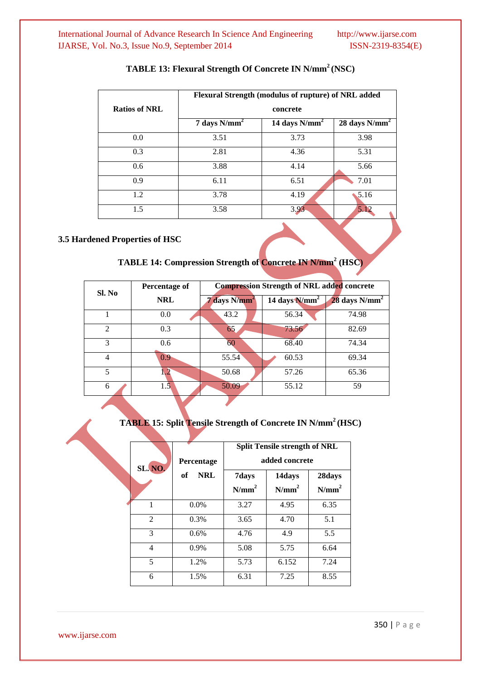|                      | Flexural Strength (modulus of rupture) of NRL added<br>concrete |                  |                      |  |
|----------------------|-----------------------------------------------------------------|------------------|----------------------|--|
| <b>Ratios of NRL</b> |                                                                 |                  |                      |  |
|                      | 7 days $N/mm^2$                                                 | 14 days $N/mm^2$ | 28 days $N/mm^2$     |  |
| 0.0                  | 3.51                                                            | 3.73             | 3.98                 |  |
| 0.3                  | 2.81                                                            | 4.36             | 5.31                 |  |
| 0.6                  | 3.88                                                            | 4.14             | 5.66                 |  |
| 0.9                  | 6.11                                                            | 6.51             | 7.01                 |  |
| 1.2                  | 3.78                                                            | 4.19             | $\blacklozenge$ 5.16 |  |
| 1.5                  | 3.58                                                            | 3.93             | 5.12                 |  |
|                      |                                                                 |                  |                      |  |

### **TABLE 13: Flexural Strength Of Concrete IN N/mm<sup>2</sup> (NSC)**

#### **3.5 Hardened Properties of HSC**

**TABLE 14: Compression Strength of Concrete IN N/mm<sup>2</sup> (HSC)**

| Sl. No         | Percentage of  | <b>Compression Strength of NRL added concrete</b> |                  |                           |  |
|----------------|----------------|---------------------------------------------------|------------------|---------------------------|--|
|                | <b>NRL</b>     | $7$ days $N/mm^2$                                 | 14 days $N/mm^2$ | $28 \text{ days } N/mm^2$ |  |
|                | 0.0            | 43.2                                              | 56.34            | 74.98                     |  |
| $\mathfrak{D}$ | 0.3            | 65                                                | 73.56            | 82.69                     |  |
| 3              | 0.6            | 60                                                | 68.40            | 74.34                     |  |
| $\overline{4}$ | 0.9            | 55.54                                             | 60.53            | 69.34                     |  |
| 5              | $\overline{2}$ | 50.68                                             | 57.26            | 65.36                     |  |
| 6              | 1.5            | 50.09                                             | 55.12            | 59                        |  |

## **TABLE 15: Split Tensile Strength of Concrete IN N/mm<sup>2</sup>(HSC)**

|                | Percentage       | <b>Split Tensile strength of NRL</b><br>added concrete |                             |                             |
|----------------|------------------|--------------------------------------------------------|-----------------------------|-----------------------------|
| SL. NO.        | <b>NRL</b><br>of | 7days<br>N/mm <sup>2</sup>                             | 14days<br>N/mm <sup>2</sup> | 28days<br>N/mm <sup>2</sup> |
| 1              | $0.0\%$          | 3.27                                                   | 4.95                        | 6.35                        |
| 2              | $0.3\%$          | 3.65                                                   | 4.70                        | 5.1                         |
| 3              | 0.6%             | 4.76                                                   | 4.9                         | 5.5                         |
| $\overline{4}$ | 0.9%             | 5.08                                                   | 5.75                        | 6.64                        |
| 5              | 1.2%             | 5.73                                                   | 6.152                       | 7.24                        |
| 6              | 1.5%             | 6.31                                                   | 7.25                        | 8.55                        |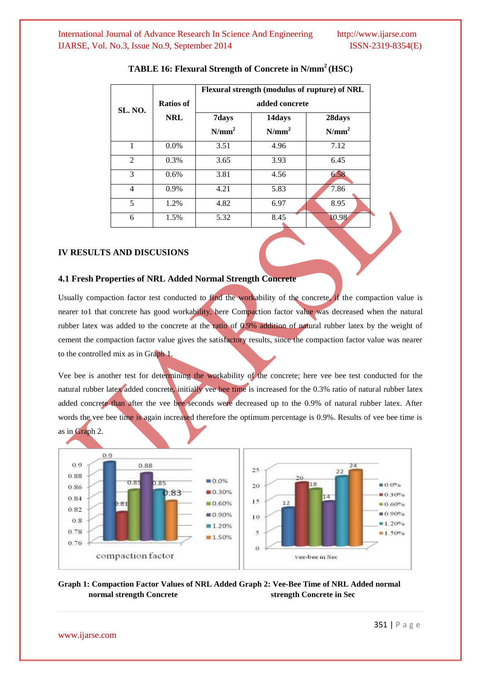|                |            | Flexural strength (modulus of rupture) of NRL<br>added concrete |          |                   |  |
|----------------|------------|-----------------------------------------------------------------|----------|-------------------|--|
| SL. NO.        | Ratios of  |                                                                 |          |                   |  |
|                | <b>NRL</b> | 7days                                                           | 14days   | 28days            |  |
|                |            | N/mm <sup>2</sup>                                               | $N/mm^2$ | N/mm <sup>2</sup> |  |
|                | $0.0\%$    | 3.51                                                            | 4.96     | 7.12              |  |
| $\mathfrak{D}$ | 0.3%       | 3.65                                                            | 3.93     | 6.45              |  |
| 3              | $0.6\%$    | 3.81                                                            | 4.56     | 6.58              |  |
| $\overline{4}$ | 0.9%       | 4.21                                                            | 5.83     | 7.86              |  |
| 5              | 1.2%       | 4.82                                                            | 6.97     | 8.95              |  |
| 6              | 1.5%       | 5.32                                                            | 8.45     | 10.98             |  |

#### **TABLE 16: Flexural Strength of Concrete in N/mm<sup>2</sup>(HSC)**

#### **IV RESULTS AND DISCUSIONS**

#### **4.1 Fresh Properties of NRL Added Normal Strength Concrete**

Usually compaction factor test conducted to find the workability of the concrete, if the compaction value is nearer to1 that concrete has good workability, here Compaction factor value was decreased when the natural rubber latex was added to the concrete at the ratio of 0.9% addition of natural rubber latex by the weight of cement the compaction factor value gives the satisfactory results, since the compaction factor value was nearer to the controlled mix as in Graph 1.

Vee bee is another test for determining the workability of the concrete; here vee bee test conducted for the natural rubber latex added concrete, initially vee bee time is increased for the 0.3% ratio of natural rubber latex added concrete than after the vee bee seconds were decreased up to the 0.9% of natural rubber latex. After words the vee bee time is again increased therefore the optimum percentage is 0.9%. Results of vee bee time is as in Graph 2.



#### **Graph 1: Compaction Factor Values of NRL Added Graph 2: Vee-Bee Time of NRL Added normal normal strength Concrete** strength Concrete in Sec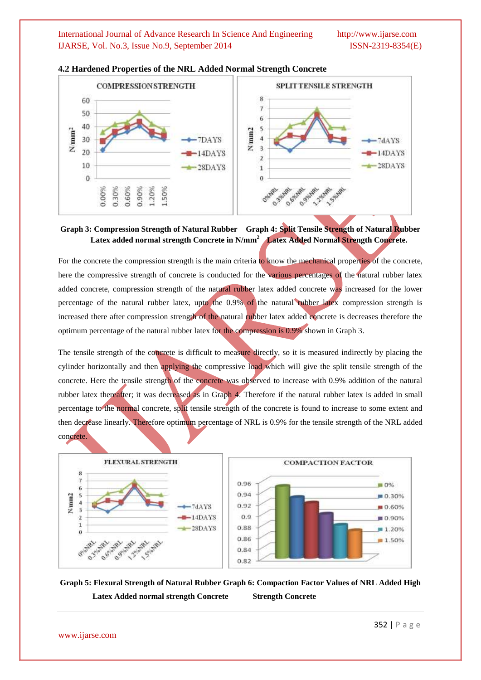

#### **4.2 Hardened Properties of the NRL Added Normal Strength Concrete**

#### **Graph 3: Compression Strength of Natural Rubber Graph 4: Split Tensile Strength of Natural Rubber Latex added normal strength Concrete in N/mm<sup>2</sup>Latex Added Normal Strength Concrete.**

For the concrete the compression strength is the main criteria to know the mechanical properties of the concrete, here the compressive strength of concrete is conducted for the various percentages of the natural rubber latex added concrete, compression strength of the natural rubber latex added concrete was increased for the lower percentage of the natural rubber latex, upto the 0.9% of the natural rubber latex compression strength is increased there after compression strength of the natural rubber latex added concrete is decreases therefore the optimum percentage of the natural rubber latex for the compression is 0.9% shown in Graph 3.

The tensile strength of the concrete is difficult to measure directly, so it is measured indirectly by placing the cylinder horizontally and then applying the compressive load which will give the split tensile strength of the concrete. Here the tensile strength of the concrete was observed to increase with 0.9% addition of the natural rubber latex thereafter; it was decreased as in Graph 4. Therefore if the natural rubber latex is added in small percentage to the normal concrete, split tensile strength of the concrete is found to increase to some extent and then decrease linearly. Therefore optimum percentage of NRL is 0.9% for the tensile strength of the NRL added concrete.



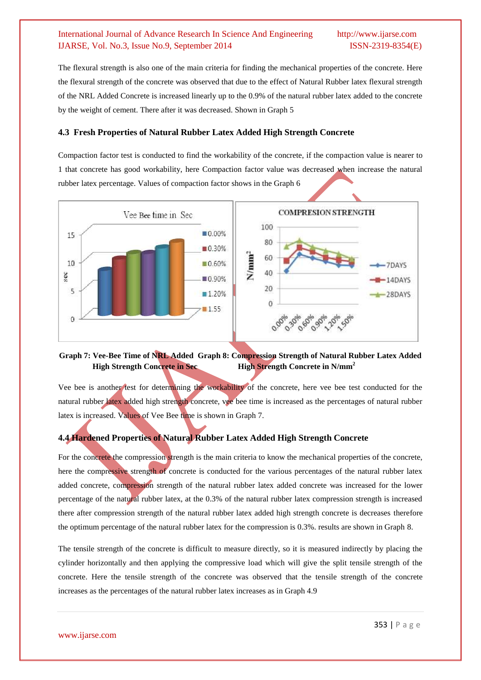The flexural strength is also one of the main criteria for finding the mechanical properties of the concrete. Here the flexural strength of the concrete was observed that due to the effect of Natural Rubber latex flexural strength of the NRL Added Concrete is increased linearly up to the 0.9% of the natural rubber latex added to the concrete by the weight of cement. There after it was decreased. Shown in Graph 5

#### **4.3 Fresh Properties of Natural Rubber Latex Added High Strength Concrete**

Compaction factor test is conducted to find the workability of the concrete, if the compaction value is nearer to 1 that concrete has good workability, here Compaction factor value was decreased when increase the natural rubber latex percentage. Values of compaction factor shows in the Graph 6



#### **Graph 7: Vee-Bee Time of NRL Added Graph 8: Compression Strength of Natural Rubber Latex Added High Strength Concrete in Sec High Strength Concrete in N/mm<sup>2</sup>**

Vee bee is another test for determining the workability of the concrete, here vee bee test conducted for the natural rubber latex added high strength concrete, vee bee time is increased as the percentages of natural rubber latex is increased. Values of Vee Bee time is shown in Graph 7.

#### **4.4 Hardened Properties of Natural Rubber Latex Added High Strength Concrete**

For the concrete the compression strength is the main criteria to know the mechanical properties of the concrete, here the compressive strength of concrete is conducted for the various percentages of the natural rubber latex added concrete, compression strength of the natural rubber latex added concrete was increased for the lower percentage of the natural rubber latex, at the 0.3% of the natural rubber latex compression strength is increased there after compression strength of the natural rubber latex added high strength concrete is decreases therefore the optimum percentage of the natural rubber latex for the compression is 0.3%. results are shown in Graph 8.

The tensile strength of the concrete is difficult to measure directly, so it is measured indirectly by placing the cylinder horizontally and then applying the compressive load which will give the split tensile strength of the concrete. Here the tensile strength of the concrete was observed that the tensile strength of the concrete increases as the percentages of the natural rubber latex increases as in Graph 4.9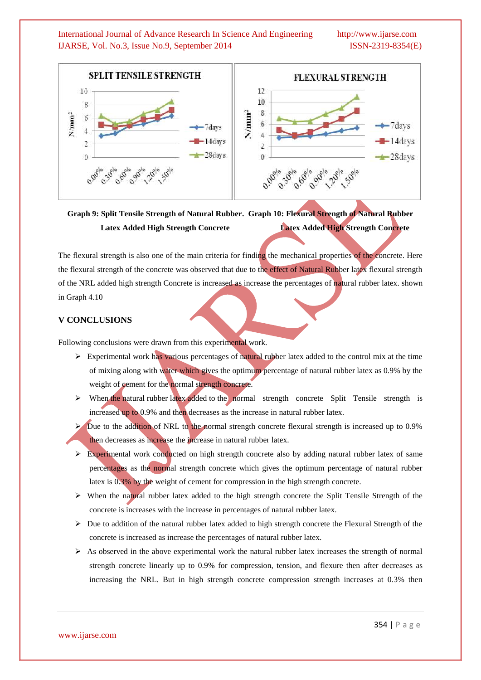

## **Graph 9: Split Tensile Strength of Natural Rubber. Graph 10: Flexural Strength of Natural Rubber Latex Added High Strength Concrete Latex Added High Strength Concrete**

The flexural strength is also one of the main criteria for finding the mechanical properties of the concrete. Here the flexural strength of the concrete was observed that due to the effect of Natural Rubber latex flexural strength of the NRL added high strength Concrete is increased as increase the percentages of natural rubber latex. shown in Graph 4.10

#### **V CONCLUSIONS**

Following conclusions were drawn from this experimental work.

- $\triangleright$  Experimental work has various percentages of natural rubber latex added to the control mix at the time of mixing along with water which gives the optimum percentage of natural rubber latex as 0.9% by the weight of cement for the normal strength concrete.
- $\triangleright$  When the natural rubber latex added to the normal strength concrete Split Tensile strength is increased up to 0.9% and then decreases as the increase in natural rubber latex.
- $\triangleright$  Due to the addition of NRL to the normal strength concrete flexural strength is increased up to 0.9% then decreases as increase the increase in natural rubber latex.
- $\triangleright$  Experimental work conducted on high strength concrete also by adding natural rubber latex of same percentages as the normal strength concrete which gives the optimum percentage of natural rubber latex is 0.3% by the weight of cement for compression in the high strength concrete.
- $\triangleright$  When the natural rubber latex added to the high strength concrete the Split Tensile Strength of the concrete is increases with the increase in percentages of natural rubber latex.
- $\triangleright$  Due to addition of the natural rubber latex added to high strength concrete the Flexural Strength of the concrete is increased as increase the percentages of natural rubber latex.
- $\triangleright$  As observed in the above experimental work the natural rubber latex increases the strength of normal strength concrete linearly up to 0.9% for compression, tension, and flexure then after decreases as increasing the NRL. But in high strength concrete compression strength increases at 0.3% then